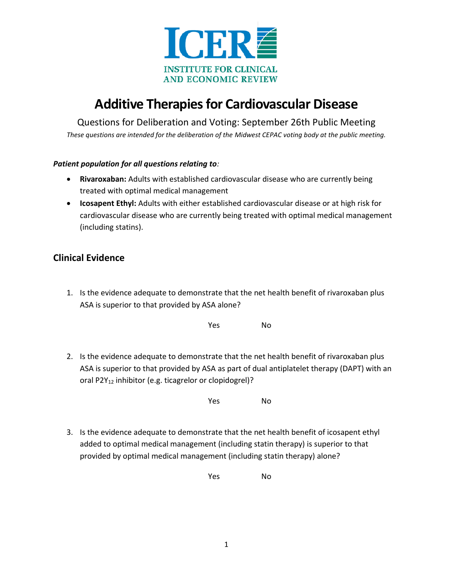

# **Additive Therapies for Cardiovascular Disease**

Questions for Deliberation and Voting: September 26th Public Meeting

*These questions are intended for the deliberation of the Midwest CEPAC voting body at the public meeting.*

#### *Patient population for all questions relating to:*

- **Rivaroxaban:** Adults with established cardiovascular disease who are currently being treated with optimal medical management
- **Icosapent Ethyl:** Adults with either established cardiovascular disease or at high risk for cardiovascular disease who are currently being treated with optimal medical management (including statins).

# **Clinical Evidence**

1. Is the evidence adequate to demonstrate that the net health benefit of rivaroxaban plus ASA is superior to that provided by ASA alone?

Yes No

2. Is the evidence adequate to demonstrate that the net health benefit of rivaroxaban plus ASA is superior to that provided by ASA as part of dual antiplatelet therapy (DAPT) with an oral P2Y<sub>12</sub> inhibitor (e.g. ticagrelor or clopidogrel)?

Yes No

3. Is the evidence adequate to demonstrate that the net health benefit of icosapent ethyl added to optimal medical management (including statin therapy) is superior to that provided by optimal medical management (including statin therapy) alone?

Yes No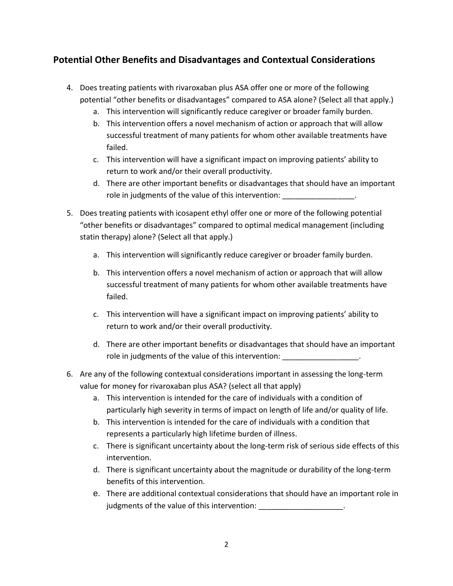## **Potential Other Benefits and Disadvantages and Contextual Considerations**

- 4. Does treating patients with rivaroxaban plus ASA offer one or more of the following potential "other benefits or disadvantages" compared to ASA alone? (Select all that apply.)
	- a. This intervention will significantly reduce caregiver or broader family burden.
	- b. This intervention offers a novel mechanism of action or approach that will allow successful treatment of many patients for whom other available treatments have failed.
	- c. This intervention will have a significant impact on improving patients' ability to return to work and/or their overall productivity.
	- d. There are other important benefits or disadvantages that should have an important role in judgments of the value of this intervention:
- 5. Does treating patients with icosapent ethyl offer one or more of the following potential "other benefits or disadvantages" compared to optimal medical management (including statin therapy) alone? (Select all that apply.)
	- a. This intervention will significantly reduce caregiver or broader family burden.
	- b. This intervention offers a novel mechanism of action or approach that will allow successful treatment of many patients for whom other available treatments have failed.
	- c. This intervention will have a significant impact on improving patients' ability to return to work and/or their overall productivity.
	- d. There are other important benefits or disadvantages that should have an important role in judgments of the value of this intervention:
- 6. Are any of the following contextual considerations important in assessing the long-term value for money for rivaroxaban plus ASA? (select all that apply)
	- a. This intervention is intended for the care of individuals with a condition of particularly high severity in terms of impact on length of life and/or quality of life.
	- b. This intervention is intended for the care of individuals with a condition that represents a particularly high lifetime burden of illness.
	- c. There is significant uncertainty about the long-term risk of serious side effects of this intervention.
	- d. There is significant uncertainty about the magnitude or durability of the long-term benefits of this intervention.
	- e. There are additional contextual considerations that should have an important role in judgments of the value of this intervention: